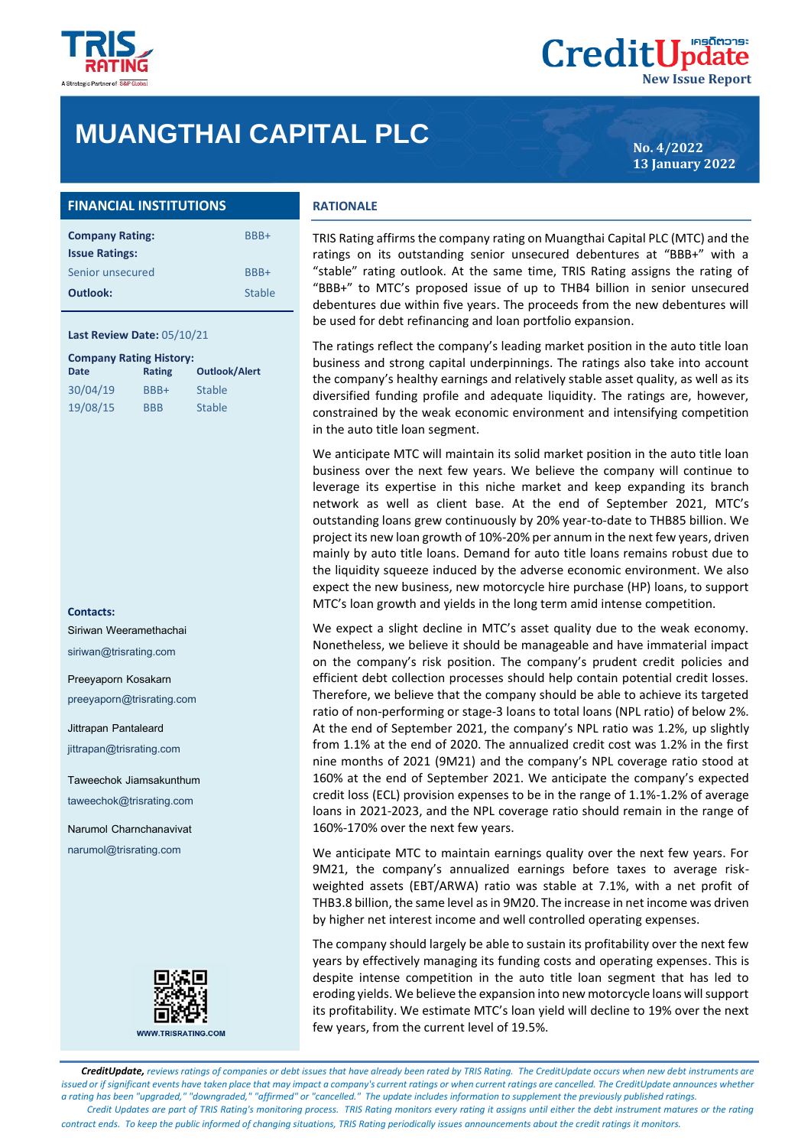

## **MUANGTHAI CAPITAL PLC**

**No. 4/2022 13 January 2022**

**New Issue Report**

**CreditUpdate** 

### **FINANCIAL INSTITUTIONS**

| <b>Company Rating:</b> | BBB+   |
|------------------------|--------|
| <b>Issue Ratings:</b>  |        |
| Senior unsecured       | BBB+   |
| Outlook:               | Stable |

#### **Last Review Date:** 05/10/21

| <b>Company Rating History:</b> |            |                      |  |  |  |
|--------------------------------|------------|----------------------|--|--|--|
| <b>Date</b>                    | Rating     | <b>Outlook/Alert</b> |  |  |  |
| 30/04/19                       | BBB+       | <b>Stable</b>        |  |  |  |
| 19/08/15                       | <b>BBB</b> | <b>Stable</b>        |  |  |  |

#### **Contacts:**

Siriwan Weeramethachai

siriwan@trisrating.com

#### Preeyaporn Kosakarn

preeyaporn@trisrating.com

Jittrapan Pantaleard

jittrapan@trisrating.com

Taweechok Jiamsakunthum taweechok@trisrating.com

Narumol Charnchanavivat narumol@trisrating.com



**WWW.TRISRATING.COM** 

#### **RATIONALE**

TRIS Rating affirms the company rating on Muangthai Capital PLC (MTC) and the ratings on its outstanding senior unsecured debentures at "BBB+" with a "stable" rating outlook. At the same time, TRIS Rating assigns the rating of "BBB+" to MTC's proposed issue of up to THB4 billion in senior unsecured debentures due within five years. The proceeds from the new debentures will be used for debt refinancing and loan portfolio expansion.

The ratings reflect the company's leading market position in the auto title loan business and strong capital underpinnings. The ratings also take into account the company's healthy earnings and relatively stable asset quality, as well as its diversified funding profile and adequate liquidity. The ratings are, however, constrained by the weak economic environment and intensifying competition in the auto title loan segment.

We anticipate MTC will maintain its solid market position in the auto title loan business over the next few years. We believe the company will continue to leverage its expertise in this niche market and keep expanding its branch network as well as client base. At the end of September 2021, MTC's outstanding loans grew continuously by 20% year-to-date to THB85 billion. We project its new loan growth of 10%-20% per annum in the next few years, driven mainly by auto title loans. Demand for auto title loans remains robust due to the liquidity squeeze induced by the adverse economic environment. We also expect the new business, new motorcycle hire purchase (HP) loans, to support MTC's loan growth and yields in the long term amid intense competition.

We expect a slight decline in MTC's asset quality due to the weak economy. Nonetheless, we believe it should be manageable and have immaterial impact on the company's risk position. The company's prudent credit policies and efficient debt collection processes should help contain potential credit losses. Therefore, we believe that the company should be able to achieve its targeted ratio of non-performing or stage-3 loans to total loans (NPL ratio) of below 2%. At the end of September 2021, the company's NPL ratio was 1.2%, up slightly from 1.1% at the end of 2020. The annualized credit cost was 1.2% in the first nine months of 2021 (9M21) and the company's NPL coverage ratio stood at 160% at the end of September 2021. We anticipate the company's expected credit loss (ECL) provision expenses to be in the range of 1.1%-1.2% of average loans in 2021-2023, and the NPL coverage ratio should remain in the range of 160%-170% over the next few years.

We anticipate MTC to maintain earnings quality over the next few years. For 9M21, the company's annualized earnings before taxes to average riskweighted assets (EBT/ARWA) ratio was stable at 7.1%, with a net profit of THB3.8 billion, the same level as in 9M20. The increase in net income was driven by higher net interest income and well controlled operating expenses.

The company should largely be able to sustain its profitability over the next few years by effectively managing its funding costs and operating expenses. This is despite intense competition in the auto title loan segment that has led to eroding yields. We believe the expansion into new motorcycle loans will support its profitability. We estimate MTC's loan yield will decline to 19% over the next few years, from the current level of 19.5%.

 *CreditUpdate, reviews ratings of companies or debt issues that have already been rated by TRIS Rating. The CreditUpdate occurs when new debt instruments are issued or if significant events have taken place that may impact a company's current ratings or when current ratings are cancelled. The CreditUpdate announces whether a rating has been "upgraded," "downgraded," "affirmed" or "cancelled." The update includes information to supplement the previously published ratings. Credit Updates are part of TRIS Rating's monitoring process. TRIS Rating monitors every rating it assigns until either the debt instrument matures or the rating contract ends. To keep the public informed of changing situations, TRIS Rating periodically issues announcements about the credit ratings it monitors.*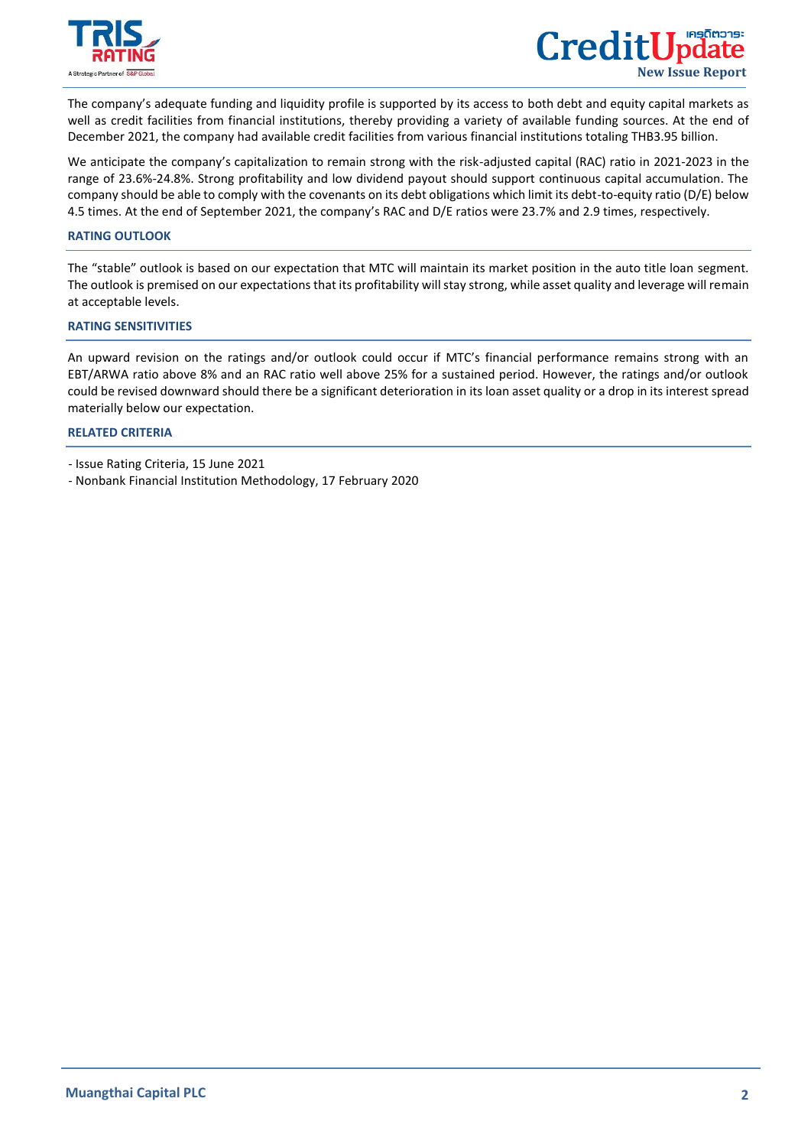

 $\overline{a}$ 

The company's adequate funding and liquidity profile is supported by its access to both debt and equity capital markets as well as credit facilities from financial institutions, thereby providing a variety of available funding sources. At the end of December 2021, the company had available credit facilities from various financial institutions totaling THB3.95 billion.

We anticipate the company's capitalization to remain strong with the risk-adjusted capital (RAC) ratio in 2021-2023 in the range of 23.6%-24.8%. Strong profitability and low dividend payout should support continuous capital accumulation. The company should be able to comply with the covenants on its debt obligations which limit its debt-to-equity ratio (D/E) below 4.5 times. At the end of September 2021, the company's RAC and D/E ratios were 23.7% and 2.9 times, respectively.

#### **RATING OUTLOOK**

The "stable" outlook is based on our expectation that MTC will maintain its market position in the auto title loan segment. The outlook is premised on our expectations that its profitability will stay strong, while asset quality and leverage will remain at acceptable levels.

#### **RATING SENSITIVITIES**

An upward revision on the ratings and/or outlook could occur if MTC's financial performance remains strong with an EBT/ARWA ratio above 8% and an RAC ratio well above 25% for a sustained period. However, the ratings and/or outlook could be revised downward should there be a significant deterioration in its loan asset quality or a drop in its interest spread materially below our expectation.

#### **[RELATED CRITERIA](https://www.trisrating.com/rating-information/rating-criteria/)**

- Issue Rating Criteria, 15 June 2021
- Nonbank Financial Institution Methodology, 17 February 2020